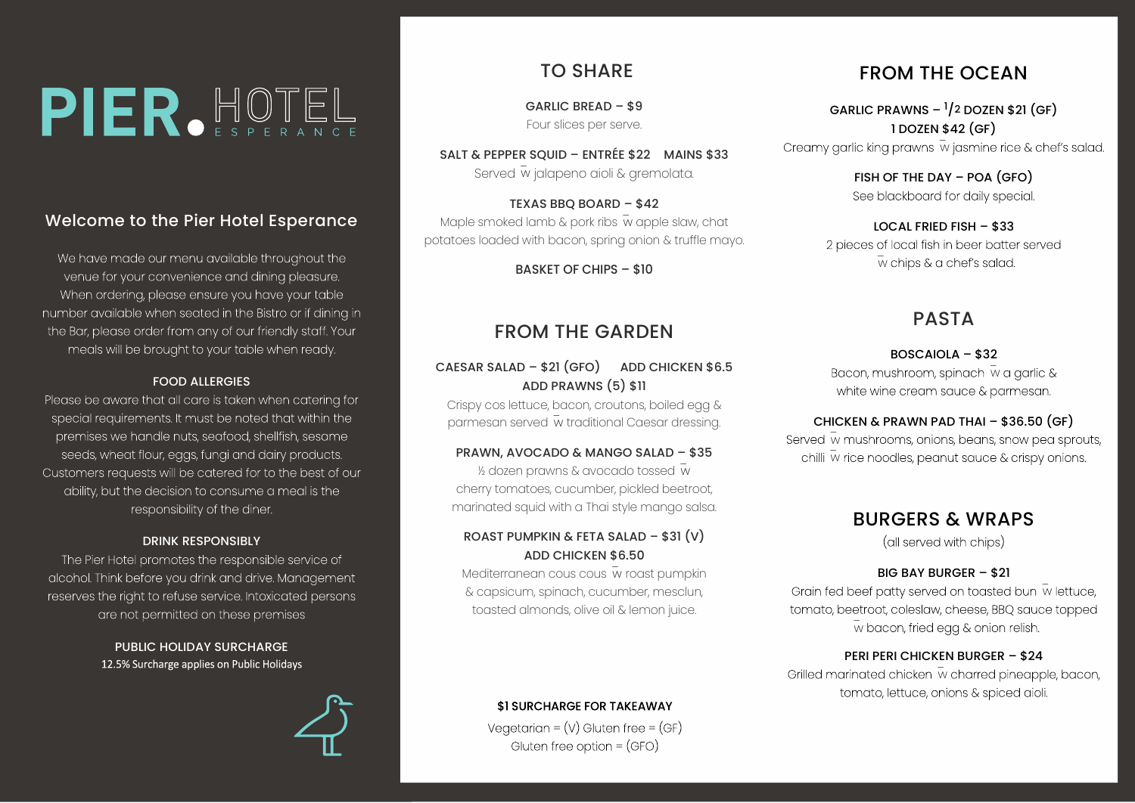# PIER.HOTEL

## Welcome to the Pier Hotel Esperance

We have made our menu available throughout the venue for your convenience and dining pleasure. When ordering, please ensure you have your table number available when seated in the Bistro or if dining in the Bar, please order from any of our friendly staff. Your meals will be brought to your table when ready.

#### FOOD ALLERGIES

Please be aware that all care is taken when catering for special requirements. It must be noted that within the premises we handle nuts, seafood, shellfish, sesame seeds, wheat flour, eggs, fungi and dairy products. Customers requests will be catered for to the best of our ability, but the decision to consume a meal is the responsibility of the diner.

#### DRINK RESPONSIBLY

The Pier Hotel promotes the responsible service of alcohol. Think before you drink and drive. Management reserves the right to refuse service. Intoxicated persons are not permitted on these premises

> PUBLIC HOLIDAY SURCHARGE 12.5% Surcharge applies on Public Holidays

# TO SHARE

GARLIC BREAD – \$9 Four slices per serve.

SALT & PEPPER SQUID – ENTRÉE \$22 MAINS \$33 Served w jalapeno aioli & gremolata.

TEXAS BBQ BOARD – \$42 Maple smoked lamb & pork ribs  $\bar{w}$  apple slaw, chat potatoes loaded with bacon, spring onion & truffle mayo.

BASKET OF CHIPS – \$10

## FROM THE GARDEN

#### CAESAR SALAD – \$21 (GFO) ADD CHICKEN \$6.5 ADD PRAWNS (5) \$11

Crispy cos lettuce, bacon, croutons, boiled egg & parmesan served w traditional Caesar dressing.

#### PRAWN, AVOCADO & MANGO SALAD – \$35

 $\frac{1}{2}$  dozen prawns & avocado tossed w cherry tomatoes, cucumber, pickled beetroot, marinated squid with a Thai style mango salsa.

## ROAST PUMPKIN & FETA SALAD – \$31 (V) ADD CHICKEN \$6.50

Mediterranean cous cous w roast pumpkin & capsicum, spinach, cucumber, mesclun, toasted almonds, olive oil & lemon juice.

## \$1 SURCHARGE FOR TAKEAWAY

Vegetarian =  $(V)$  Gluten free =  $(GF)$ Gluten free option = (GFO)

# FROM THE OCEAN

GARLIC PRAWNS  $\frac{1}{2}$  DOZEN \$21 (GF) 1 DOZEN \$42 (GF)

Creamy garlic king prawns w jasmine rice & chef's salad.

FISH OF THE DAY – POA (GFO) See blackboard for daily special

LOCAL FRIED FISH – \$33 2 pieces of local fish in beer batter served w chips & a chef's salad.

# **PASTA**

BOSCAIOLA – \$32 Bacon, mushroom, spinach w a garlic & white wine cream sauce & parmesan.

## CHICKEN & PRAWN PAD THAI – \$36.50 (GF)

Served w mushrooms, onions, beans, snow pea sprouts, chilli w rice noodles, peanut sauce & crispy onions.

## BURGERS & WRAPS

(all served with chips)

## BIG BAY BURGER – \$21

Grain fed beef patty served on toasted bun w lettuce, tomato, beetroot, coleslaw, cheese, BBQ sauce topped w bacon, fried egg & onion relish.

#### PERI PERI CHICKEN BURGER – \$24

Grilled marinated chicken w charred pineapple, bacon, tomato, lettuce, onions & spiced aioli.